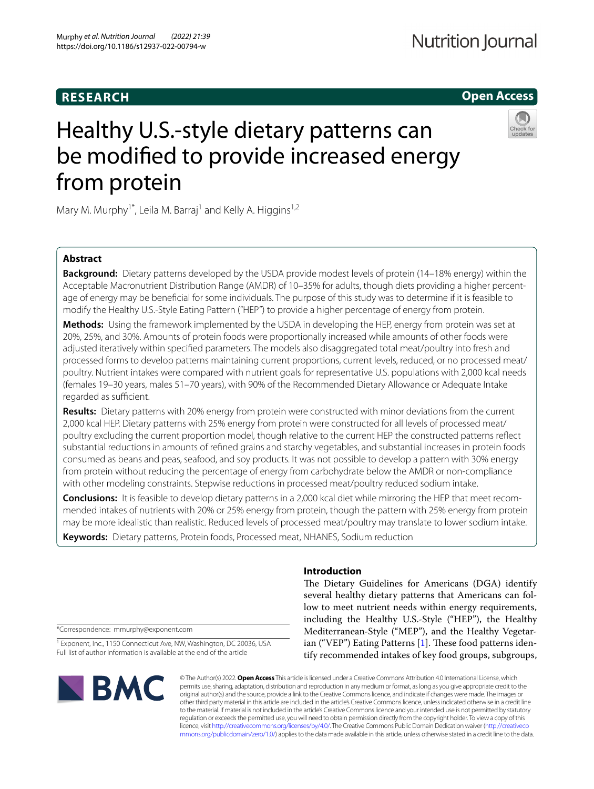# **RESEARCH**

# **Open Access**

# Healthy U.S.-style dietary patterns can be modifed to provide increased energy from protein



Mary M. Murphy<sup>1\*</sup>, Leila M. Barraj<sup>1</sup> and Kelly A. Higgins<sup>1,2</sup>

# **Abstract**

**Background:** Dietary patterns developed by the USDA provide modest levels of protein (14–18% energy) within the Acceptable Macronutrient Distribution Range (AMDR) of 10–35% for adults, though diets providing a higher percentage of energy may be benefcial for some individuals. The purpose of this study was to determine if it is feasible to modify the Healthy U.S.-Style Eating Pattern ("HEP") to provide a higher percentage of energy from protein.

**Methods:** Using the framework implemented by the USDA in developing the HEP, energy from protein was set at 20%, 25%, and 30%. Amounts of protein foods were proportionally increased while amounts of other foods were adjusted iteratively within specifed parameters. The models also disaggregated total meat/poultry into fresh and processed forms to develop patterns maintaining current proportions, current levels, reduced, or no processed meat/ poultry. Nutrient intakes were compared with nutrient goals for representative U.S. populations with 2,000 kcal needs (females 19–30 years, males 51–70 years), with 90% of the Recommended Dietary Allowance or Adequate Intake regarded as sufficient.

**Results:** Dietary patterns with 20% energy from protein were constructed with minor deviations from the current 2,000 kcal HEP. Dietary patterns with 25% energy from protein were constructed for all levels of processed meat/ poultry excluding the current proportion model, though relative to the current HEP the constructed patterns refect substantial reductions in amounts of refned grains and starchy vegetables, and substantial increases in protein foods consumed as beans and peas, seafood, and soy products. It was not possible to develop a pattern with 30% energy from protein without reducing the percentage of energy from carbohydrate below the AMDR or non-compliance with other modeling constraints. Stepwise reductions in processed meat/poultry reduced sodium intake.

**Conclusions:** It is feasible to develop dietary patterns in a 2,000 kcal diet while mirroring the HEP that meet recommended intakes of nutrients with 20% or 25% energy from protein, though the pattern with 25% energy from protein may be more idealistic than realistic. Reduced levels of processed meat/poultry may translate to lower sodium intake.

**Keywords:** Dietary patterns, Protein foods, Processed meat, NHANES, Sodium reduction

# **Introduction**

The Dietary Guidelines for Americans (DGA) identify several healthy dietary patterns that Americans can follow to meet nutrient needs within energy requirements, including the Healthy U.S.-Style ("HEP"), the Healthy Mediterranean-Style ("MEP"), and the Healthy Vegetarian ("VEP") Eating Patterns  $[1]$  $[1]$ . These food patterns identify recommended intakes of key food groups, subgroups,

\*Correspondence: mmurphy@exponent.com

<sup>1</sup> Exponent, Inc., 1150 Connecticut Ave, NW, Washington, DC 20036, USA Full list of author information is available at the end of the article



© The Author(s) 2022. **Open Access** This article is licensed under a Creative Commons Attribution 4.0 International License, which permits use, sharing, adaptation, distribution and reproduction in any medium or format, as long as you give appropriate credit to the original author(s) and the source, provide a link to the Creative Commons licence, and indicate if changes were made. The images or other third party material in this article are included in the article's Creative Commons licence, unless indicated otherwise in a credit line to the material. If material is not included in the article's Creative Commons licence and your intended use is not permitted by statutory regulation or exceeds the permitted use, you will need to obtain permission directly from the copyright holder. To view a copy of this licence, visit [http://creativecommons.org/licenses/by/4.0/.](http://creativecommons.org/licenses/by/4.0/) The Creative Commons Public Domain Dedication waiver ([http://creativeco](http://creativecommons.org/publicdomain/zero/1.0/) [mmons.org/publicdomain/zero/1.0/](http://creativecommons.org/publicdomain/zero/1.0/)) applies to the data made available in this article, unless otherwise stated in a credit line to the data.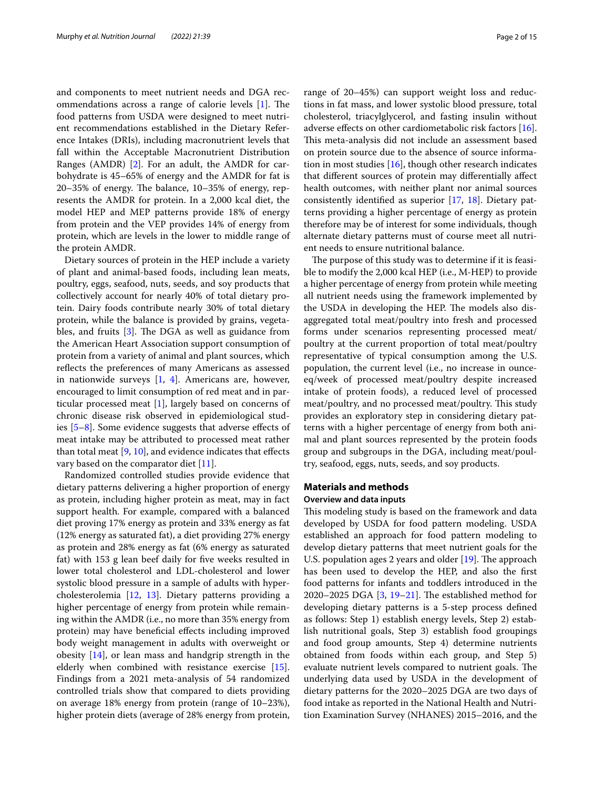and components to meet nutrient needs and DGA recommendations across a range of calorie levels  $[1]$  $[1]$ . The food patterns from USDA were designed to meet nutrient recommendations established in the Dietary Reference Intakes (DRIs), including macronutrient levels that fall within the Acceptable Macronutrient Distribution Ranges (AMDR) [\[2](#page-13-1)]. For an adult, the AMDR for carbohydrate is 45–65% of energy and the AMDR for fat is  $20-35%$  of energy. The balance,  $10-35%$  of energy, represents the AMDR for protein. In a 2,000 kcal diet, the model HEP and MEP patterns provide 18% of energy from protein and the VEP provides 14% of energy from protein, which are levels in the lower to middle range of the protein AMDR.

Dietary sources of protein in the HEP include a variety of plant and animal-based foods, including lean meats, poultry, eggs, seafood, nuts, seeds, and soy products that collectively account for nearly 40% of total dietary protein. Dairy foods contribute nearly 30% of total dietary protein, while the balance is provided by grains, vegetables, and fruits  $[3]$  $[3]$ . The DGA as well as guidance from the American Heart Association support consumption of protein from a variety of animal and plant sources, which reflects the preferences of many Americans as assessed in nationwide surveys [[1](#page-13-0), [4](#page-13-3)]. Americans are, however, encouraged to limit consumption of red meat and in particular processed meat [[1](#page-13-0)], largely based on concerns of chronic disease risk observed in epidemiological studies  $[5-8]$  $[5-8]$ . Some evidence suggests that adverse effects of meat intake may be attributed to processed meat rather than total meat  $[9, 10]$  $[9, 10]$  $[9, 10]$ , and evidence indicates that effects vary based on the comparator diet [[11\]](#page-13-8).

Randomized controlled studies provide evidence that dietary patterns delivering a higher proportion of energy as protein, including higher protein as meat, may in fact support health. For example, compared with a balanced diet proving 17% energy as protein and 33% energy as fat (12% energy as saturated fat), a diet providing 27% energy as protein and 28% energy as fat (6% energy as saturated fat) with 153 g lean beef daily for fve weeks resulted in lower total cholesterol and LDL-cholesterol and lower systolic blood pressure in a sample of adults with hypercholesterolemia [[12](#page-13-9), [13\]](#page-13-10). Dietary patterns providing a higher percentage of energy from protein while remaining within the AMDR (i.e., no more than 35% energy from protein) may have beneficial effects including improved body weight management in adults with overweight or obesity [[14](#page-13-11)], or lean mass and handgrip strength in the elderly when combined with resistance exercise [\[15](#page-13-12)]. Findings from a 2021 meta-analysis of 54 randomized controlled trials show that compared to diets providing on average 18% energy from protein (range of 10–23%), higher protein diets (average of 28% energy from protein, range of 20–45%) can support weight loss and reductions in fat mass, and lower systolic blood pressure, total cholesterol, triacylglycerol, and fasting insulin without adverse effects on other cardiometabolic risk factors [\[16](#page-13-13)]. This meta-analysis did not include an assessment based on protein source due to the absence of source information in most studies  $[16]$  $[16]$ , though other research indicates that diferent sources of protein may diferentially afect health outcomes, with neither plant nor animal sources consistently identifed as superior [\[17,](#page-13-14) [18\]](#page-13-15). Dietary patterns providing a higher percentage of energy as protein therefore may be of interest for some individuals, though alternate dietary patterns must of course meet all nutrient needs to ensure nutritional balance.

The purpose of this study was to determine if it is feasible to modify the 2,000 kcal HEP (i.e., M-HEP) to provide a higher percentage of energy from protein while meeting all nutrient needs using the framework implemented by the USDA in developing the HEP. The models also disaggregated total meat/poultry into fresh and processed forms under scenarios representing processed meat/ poultry at the current proportion of total meat/poultry representative of typical consumption among the U.S. population, the current level (i.e., no increase in ounceeq/week of processed meat/poultry despite increased intake of protein foods), a reduced level of processed meat/poultry, and no processed meat/poultry. This study provides an exploratory step in considering dietary patterns with a higher percentage of energy from both animal and plant sources represented by the protein foods group and subgroups in the DGA, including meat/poultry, seafood, eggs, nuts, seeds, and soy products.

# **Materials and methods Overview and data inputs**

This modeling study is based on the framework and data developed by USDA for food pattern modeling. USDA established an approach for food pattern modeling to develop dietary patterns that meet nutrient goals for the U.S. population ages 2 years and older [\[19](#page-13-16)]. The approach has been used to develop the HEP, and also the frst food patterns for infants and toddlers introduced in the 2020–2025 DGA  $[3, 19-21]$  $[3, 19-21]$  $[3, 19-21]$  $[3, 19-21]$ . The established method for developing dietary patterns is a 5-step process defned as follows: Step 1) establish energy levels, Step 2) establish nutritional goals, Step 3) establish food groupings and food group amounts, Step 4) determine nutrients obtained from foods within each group, and Step 5) evaluate nutrient levels compared to nutrient goals. The underlying data used by USDA in the development of dietary patterns for the 2020–2025 DGA are two days of food intake as reported in the National Health and Nutrition Examination Survey (NHANES) 2015–2016, and the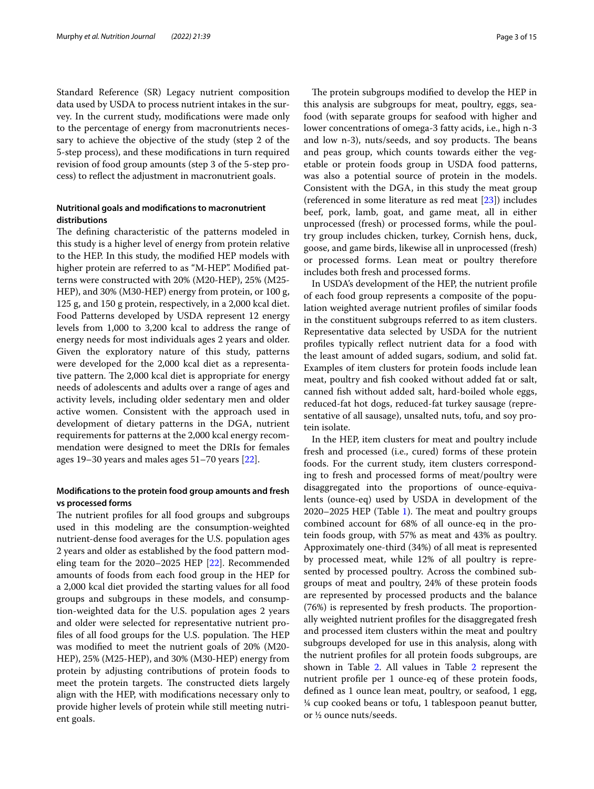Standard Reference (SR) Legacy nutrient composition data used by USDA to process nutrient intakes in the survey. In the current study, modifcations were made only to the percentage of energy from macronutrients necessary to achieve the objective of the study (step 2 of the 5-step process), and these modifcations in turn required revision of food group amounts (step 3 of the 5-step process) to refect the adjustment in macronutrient goals.

# **Nutritional goals and modifcations to macronutrient distributions**

The defining characteristic of the patterns modeled in this study is a higher level of energy from protein relative to the HEP. In this study, the modifed HEP models with higher protein are referred to as "M-HEP". Modified patterns were constructed with 20% (M20-HEP), 25% (M25- HEP), and 30% (M30-HEP) energy from protein, or 100 g, 125 g, and 150 g protein, respectively, in a 2,000 kcal diet. Food Patterns developed by USDA represent 12 energy levels from 1,000 to 3,200 kcal to address the range of energy needs for most individuals ages 2 years and older. Given the exploratory nature of this study, patterns were developed for the 2,000 kcal diet as a representative pattern. The 2,000 kcal diet is appropriate for energy needs of adolescents and adults over a range of ages and activity levels, including older sedentary men and older active women. Consistent with the approach used in development of dietary patterns in the DGA, nutrient requirements for patterns at the 2,000 kcal energy recommendation were designed to meet the DRIs for females ages 19–30 years and males ages 51–70 years [\[22](#page-14-0)].

# **Modifcations to the protein food group amounts and fresh vs processed forms**

The nutrient profiles for all food groups and subgroups used in this modeling are the consumption-weighted nutrient-dense food averages for the U.S. population ages 2 years and older as established by the food pattern modeling team for the 2020–2025 HEP [\[22\]](#page-14-0). Recommended amounts of foods from each food group in the HEP for a 2,000 kcal diet provided the starting values for all food groups and subgroups in these models, and consumption-weighted data for the U.S. population ages 2 years and older were selected for representative nutrient profiles of all food groups for the U.S. population. The HEP was modifed to meet the nutrient goals of 20% (M20- HEP), 25% (M25-HEP), and 30% (M30-HEP) energy from protein by adjusting contributions of protein foods to meet the protein targets. The constructed diets largely align with the HEP, with modifcations necessary only to provide higher levels of protein while still meeting nutrient goals.

The protein subgroups modified to develop the HEP in this analysis are subgroups for meat, poultry, eggs, seafood (with separate groups for seafood with higher and lower concentrations of omega-3 fatty acids, i.e., high n-3 and low n-3), nuts/seeds, and soy products. The beans and peas group, which counts towards either the vegetable or protein foods group in USDA food patterns, was also a potential source of protein in the models. Consistent with the DGA, in this study the meat group (referenced in some literature as red meat [\[23](#page-14-1)]) includes beef, pork, lamb, goat, and game meat, all in either unprocessed (fresh) or processed forms, while the poultry group includes chicken, turkey, Cornish hens, duck, goose, and game birds, likewise all in unprocessed (fresh) or processed forms. Lean meat or poultry therefore includes both fresh and processed forms.

In USDA's development of the HEP, the nutrient profle of each food group represents a composite of the population weighted average nutrient profles of similar foods in the constituent subgroups referred to as item clusters. Representative data selected by USDA for the nutrient profles typically refect nutrient data for a food with the least amount of added sugars, sodium, and solid fat. Examples of item clusters for protein foods include lean meat, poultry and fsh cooked without added fat or salt, canned fsh without added salt, hard-boiled whole eggs, reduced-fat hot dogs, reduced-fat turkey sausage (representative of all sausage), unsalted nuts, tofu, and soy protein isolate.

In the HEP, item clusters for meat and poultry include fresh and processed (i.e., cured) forms of these protein foods. For the current study, item clusters corresponding to fresh and processed forms of meat/poultry were disaggregated into the proportions of ounce-equivalents (ounce-eq) used by USDA in development of the  $2020-2025$  HEP (Table [1](#page-3-0)). The meat and poultry groups combined account for 68% of all ounce-eq in the protein foods group, with 57% as meat and 43% as poultry. Approximately one-third (34%) of all meat is represented by processed meat, while 12% of all poultry is represented by processed poultry. Across the combined subgroups of meat and poultry, 24% of these protein foods are represented by processed products and the balance  $(76%)$  is represented by fresh products. The proportionally weighted nutrient profles for the disaggregated fresh and processed item clusters within the meat and poultry subgroups developed for use in this analysis, along with the nutrient profles for all protein foods subgroups, are shown in Table [2](#page-4-0). All values in Table [2](#page-4-0) represent the nutrient profle per 1 ounce-eq of these protein foods, defned as 1 ounce lean meat, poultry, or seafood, 1 egg, ¼ cup cooked beans or tofu, 1 tablespoon peanut butter, or ½ ounce nuts/seeds.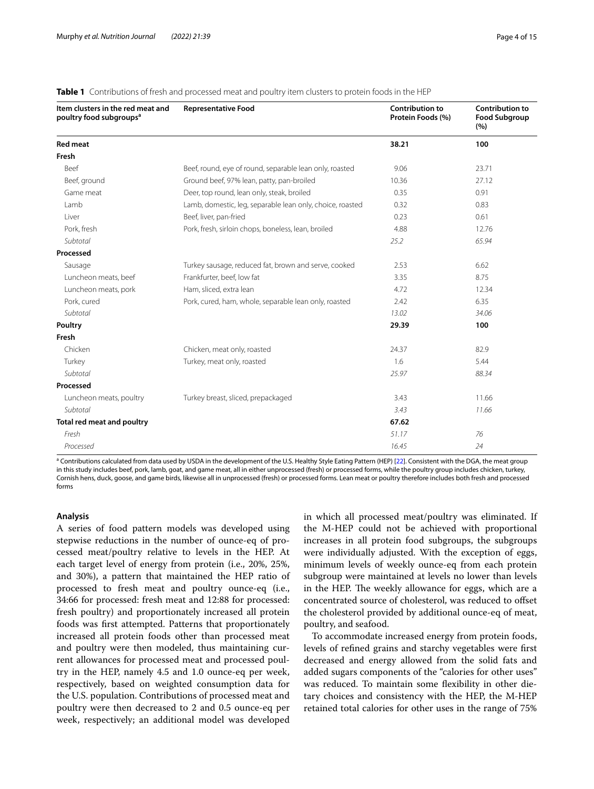| Item clusters in the red meat and<br>poultry food subgroups <sup>a</sup> | <b>Representative Food</b>                                | <b>Contribution to</b><br>Protein Foods (%) | <b>Contribution to</b><br><b>Food Subgroup</b><br>(%) |
|--------------------------------------------------------------------------|-----------------------------------------------------------|---------------------------------------------|-------------------------------------------------------|
| <b>Red meat</b>                                                          |                                                           | 38.21                                       | 100                                                   |
| Fresh                                                                    |                                                           |                                             |                                                       |
| Beef                                                                     | Beef, round, eye of round, separable lean only, roasted   | 9.06                                        | 23.71                                                 |
| Beef, ground                                                             | Ground beef, 97% lean, patty, pan-broiled                 | 10.36                                       | 27.12                                                 |
| Game meat                                                                | Deer, top round, lean only, steak, broiled                | 0.35                                        | 0.91                                                  |
| Lamb                                                                     | Lamb, domestic, leg, separable lean only, choice, roasted | 0.32                                        | 0.83                                                  |
| Liver                                                                    | Beef, liver, pan-fried                                    | 0.23                                        | 0.61                                                  |
| Pork, fresh                                                              | Pork, fresh, sirloin chops, boneless, lean, broiled       | 4.88                                        | 12.76                                                 |
| Subtotal                                                                 |                                                           | 25.2                                        | 65.94                                                 |
| Processed                                                                |                                                           |                                             |                                                       |
| Sausage                                                                  | Turkey sausage, reduced fat, brown and serve, cooked      | 2.53                                        | 6.62                                                  |
| Luncheon meats, beef                                                     | Frankfurter, beef, low fat                                | 3.35                                        | 8.75                                                  |
| Luncheon meats, pork                                                     | Ham, sliced, extra lean                                   | 4.72                                        | 12.34                                                 |
| Pork, cured                                                              | Pork, cured, ham, whole, separable lean only, roasted     | 2.42                                        | 6.35                                                  |
| Subtotal                                                                 |                                                           | 13.02                                       | 34.06                                                 |
| Poultry                                                                  |                                                           | 29.39                                       | 100                                                   |
| Fresh                                                                    |                                                           |                                             |                                                       |
| Chicken                                                                  | Chicken, meat only, roasted                               | 24.37                                       | 82.9                                                  |
| Turkey                                                                   | Turkey, meat only, roasted                                | 1.6                                         | 5.44                                                  |
| Subtotal                                                                 |                                                           | 25.97                                       | 88.34                                                 |
| Processed                                                                |                                                           |                                             |                                                       |
| Luncheon meats, poultry                                                  | Turkey breast, sliced, prepackaged                        | 3.43                                        | 11.66                                                 |
| Subtotal                                                                 |                                                           | 3.43                                        | 11.66                                                 |
| Total red meat and poultry                                               |                                                           | 67.62                                       |                                                       |
| Fresh                                                                    |                                                           | 51.17                                       | 76                                                    |
| Processed                                                                |                                                           | 16.45                                       | 24                                                    |

<span id="page-3-0"></span>**Table 1** Contributions of fresh and processed meat and poultry item clusters to protein foods in the HEP

<sup>a</sup> Contributions calculated from data used by USDA in the development of the U.S. Healthy Style Eating Pattern (HEP) [\[22\]](#page-14-0). Consistent with the DGA, the meat group in this study includes beef, pork, lamb, goat, and game meat, all in either unprocessed (fresh) or processed forms, while the poultry group includes chicken, turkey, Cornish hens, duck, goose, and game birds, likewise all in unprocessed (fresh) or processed forms. Lean meat or poultry therefore includes both fresh and processed forms

#### **Analysis**

A series of food pattern models was developed using stepwise reductions in the number of ounce-eq of processed meat/poultry relative to levels in the HEP. At each target level of energy from protein (i.e., 20%, 25%, and 30%), a pattern that maintained the HEP ratio of processed to fresh meat and poultry ounce-eq (i.e., 34:66 for processed: fresh meat and 12:88 for processed: fresh poultry) and proportionately increased all protein foods was frst attempted. Patterns that proportionately increased all protein foods other than processed meat and poultry were then modeled, thus maintaining current allowances for processed meat and processed poultry in the HEP, namely 4.5 and 1.0 ounce-eq per week, respectively, based on weighted consumption data for the U.S. population. Contributions of processed meat and poultry were then decreased to 2 and 0.5 ounce-eq per week, respectively; an additional model was developed in which all processed meat/poultry was eliminated. If the M-HEP could not be achieved with proportional increases in all protein food subgroups, the subgroups were individually adjusted. With the exception of eggs, minimum levels of weekly ounce-eq from each protein subgroup were maintained at levels no lower than levels in the HEP. The weekly allowance for eggs, which are a concentrated source of cholesterol, was reduced to ofset the cholesterol provided by additional ounce-eq of meat, poultry, and seafood.

To accommodate increased energy from protein foods, levels of refned grains and starchy vegetables were frst decreased and energy allowed from the solid fats and added sugars components of the "calories for other uses" was reduced. To maintain some fexibility in other dietary choices and consistency with the HEP, the M-HEP retained total calories for other uses in the range of 75%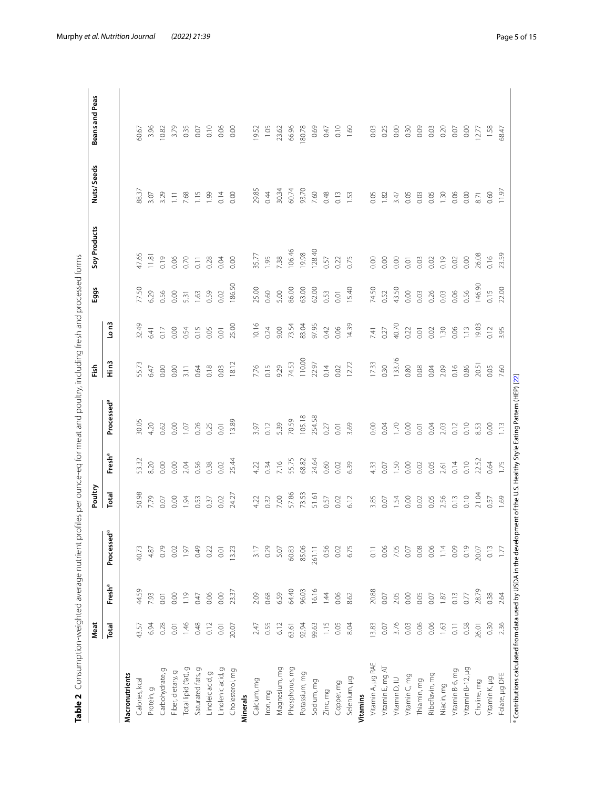<span id="page-4-0"></span>

|   | ١                                                                               |               |
|---|---------------------------------------------------------------------------------|---------------|
|   |                                                                                 |               |
|   | ֘֝֬<br>ć<br>l<br>i<br>d                                                         |               |
|   | Ï<br>í                                                                          |               |
|   |                                                                                 |               |
|   | d<br>j                                                                          |               |
|   |                                                                                 |               |
|   | ١<br>i<br>Ì<br>ı                                                                |               |
|   | ׇׇ֦ׅ֡֡<br>i                                                                     | ì             |
|   | 7<br>i<br>ׇ֚֬֕                                                                  |               |
|   | Ï                                                                               |               |
|   | Š                                                                               |               |
|   | i                                                                               |               |
|   | ׇ֘֒<br>1<br>í                                                                   |               |
|   | ì<br>l                                                                          |               |
|   | Š<br>5<br>i                                                                     |               |
|   | Ï<br>j<br>ï<br>Ó<br>l                                                           |               |
|   | Į                                                                               |               |
|   | j<br>ţ                                                                          |               |
|   | Ì<br>֖֖֖֖֧ׅ֧֧֧֪ׅ֧֪֧֚֚֚֚֚֚֚֚֚֚֚֚֚֚֚֚֚֚֚֚֚֚֚֚֚֚֚֚֚֚֬֝֝֝֓֞֝֓֞֝֬֓֞֝֬<br>¢<br>J<br>l |               |
|   | I<br>1<br>Ï<br>j                                                                |               |
|   | ļ<br>j                                                                          |               |
|   | ŕ                                                                               |               |
|   |                                                                                 |               |
| i |                                                                                 |               |
|   | ζ                                                                               |               |
|   | ļ<br>ׇ֚֘                                                                        |               |
|   | j<br>Ï                                                                          |               |
|   | ł                                                                               |               |
|   | ļ<br>1                                                                          |               |
|   | ĭ<br>5<br>ï                                                                     | l             |
|   | j<br>Ξ                                                                          |               |
|   | Ċ<br>ׇ֚֬֓֡<br>l                                                                 |               |
|   |                                                                                 |               |
|   | Ì<br>i<br>d<br>Ï                                                                | $\mathcal{L}$ |
|   |                                                                                 |               |
|   | I<br>i<br>١                                                                     |               |
|   | Į                                                                               |               |
|   | i<br>١<br>ï                                                                     |               |
|   | $\overline{ }$<br>$\overline{\phantom{a}}$<br>)<br>J                            |               |
| I |                                                                                 |               |
|   | r<br>l<br>¢<br>l                                                                |               |

|                      | Meat  |                    |                        | Poultry |                    |                                                                                                                                     | Fish           |          | Eggs   | Soy Products     | Nuts/Seeds | Beans and Peas |
|----------------------|-------|--------------------|------------------------|---------|--------------------|-------------------------------------------------------------------------------------------------------------------------------------|----------------|----------|--------|------------------|------------|----------------|
|                      | Total | Fresh <sup>a</sup> | Processed <sup>a</sup> | Total   | Fresh <sup>a</sup> | Processed <sup>a</sup>                                                                                                              | $\frac{2}{11}$ | $L_0$ n3 |        |                  |            |                |
| Macronutrients       |       |                    |                        |         |                    |                                                                                                                                     |                |          |        |                  |            |                |
| Calories, kcal       | 43.57 | 44.59              | 40.73                  | 50.98   | 53.32              | 30.05                                                                                                                               | 55.73          | 32.49    | 77.50  | 47.65            | 88.37      | 50.67          |
| Protein, g           | 6.94  | 7.93               | 4.87                   | 7.79    | 8.20               | 4.20                                                                                                                                | 6.47           | 6.41     | 6.29   | 11.81            | 3.07       | 3.96           |
| Ō<br>Carbohydrate,   | 0.28  | $0.01$             | 0.79                   | 0.07    | 0.00               | 0.62                                                                                                                                | 0.00           | 0.17     | 0.56   | 0.19             | 3.29       | 10.82          |
| Fiber, dietary, g    | 0.01  | $_{0.00}$          | 0.02                   | 0.00    | 0.00               | 0.00                                                                                                                                | 0.00           | 0.00     | 0.00   | 0.06             | $\Xi$      | 3.79           |
| Total lipid (fat), g | 1.46  | 1.19               | 1.97                   | 1.94    | 2.04               | 1.07                                                                                                                                | 3.11           | 0.54     | 5.31   | 0.70             | 7.68       | 0.35           |
| Saturated fats,      | 0.48  | 0.47               | 0.49                   | 0.53    | 0.56               | 0.26                                                                                                                                | 0.64           | 0.15     | 1.63   | 0.11             | 1.15       | $0.07$         |
| Linoleic acid, g     | 0.12  | 0.06               | 0.22                   | 0.37    | 0.38               | 0.25                                                                                                                                | 0.18           | 0.05     | 0.59   | 0.28             | 1.99       | 0.10           |
| Linolenic acid, g    | 0.01  | 0.00               | 0.01                   | 0.02    | $0.02$             | 0.01                                                                                                                                | 0.03           | 0.01     | 0.02   | 0.04             | 0.14       | 0.06           |
| Cholesterol, mg      | 20.07 | 23.37              | 3.23                   | 24.27   | 25.44              | 13.89                                                                                                                               | 18.12          | 25.00    | 186.50 | 0.00             | 0.00       | 0.00           |
| <b>Minerals</b>      |       |                    |                        |         |                    |                                                                                                                                     |                |          |        |                  |            |                |
| Calcium, mg          | 2.47  | 2.09               | 3.17                   | 4.22    | 4.22               | 3.97                                                                                                                                | 7.76           | 10.16    | 25.00  | 35.77            | 29.85      | 19.52          |
| Iron, mg             | 0.55  | 0.68               | 0.29                   | 0.32    | 0.34               | 0.12                                                                                                                                | 0.15           | 0.24     | 0.60   | 1.95             | 0.44       | 1.05           |
| Magnesium, mg        | 6.12  | 6.59               | 5.07                   | 7.00    | 7.16               | 5.39                                                                                                                                | 9.29           | 9.00     | 5.00   | 7.38             | 30.34      | 23.62          |
| Phosphorus, mg       | 63.61 | 64.40              | 60.83                  | 57.86   | 55.75              | 70.59                                                                                                                               | 74.53          | 73.54    | 86.00  | 106.46           | 60.74      | 66.96          |
| Potassium, mg        | 92.94 | 96.03              | 85.06                  | 73.53   | 68.82              | 105.18                                                                                                                              | 110.00         | 83.04    | 63.00  | 19.98            | 93.70      | 180.78         |
| Sodium, mg           | 99.63 | 16.16              | 261.11                 | 51.61   | 24.64              | 254.58                                                                                                                              | 22.97          | 97.95    | 62.00  | 128.40           | 7.60       | 0.69           |
| Zinc, mg             | 1.15  | 1.44               | 0.56                   | 0.57    | 0.60               | 0.27                                                                                                                                | 0.14           | 0.42     | 0.53   | 0.57             | 0.48       | 0.47           |
| Copper, mg           | 0.05  | 0.06               | 0.02                   | 0.02    | 0.02               | $\overline{0}$                                                                                                                      | 0.02           | 0.06     | 0.01   | 0.22             | 0.13       | 0.10           |
| Selenium, µg         | 8.O4  | 8.62               | 6.75                   | 6.12    | 6.39               | 3.69                                                                                                                                | 12.72          | 14.39    | 15.40  | 0.75             | 1.53       | 1.60           |
| Vitamins             |       |                    |                        |         |                    |                                                                                                                                     |                |          |        |                  |            |                |
| Vitamin A, µg RAE    | 3.83  | 20.88              | $\overline{0}$ .       | 3.85    | 4.33               | 0.00                                                                                                                                | 17.33          | 7.41     | 74.50  | 0.00             | 0.05       | 0.03           |
| Vitamin E, mg AT     | 0.07  | $0.07$             | 0.06                   | 0.07    | 0.07               | 0.04                                                                                                                                | 0.30           | 0.27     | 0.52   | 0.00             | 1.82       | 0.25           |
| Vitamin D, IU        | 3.76  | 2.05               | 7.05                   | 1.54    | 1.50               | 1.70                                                                                                                                | 133.76         | 40.70    | 43.50  | 0.00             | 3.47       | 0.00           |
| Vitamin C, mg        | 0.03  | 0.00               | 0.07                   | 0.00    | 0.00               | 0.00                                                                                                                                | 0.80           | 0.22     | 0.00   | $\overline{0}$ . | 0.05       | 0.30           |
| Thiamin, mg          | 0.06  | 0.05               | 0.08                   | 0.02    | 0.02               | 0.01                                                                                                                                | 0.08           | 0.01     | 0.03   | 0.03             | 0.03       | 0.09           |
| Riboflavin, mg       | 0.06  | $0.07$             | 0.06                   | 0.05    | 0.05               | 0.04                                                                                                                                | 0.04           | 0.02     | 0.26   | 0.02             | 0.05       | 0.03           |
| Niacin, mg           | 1.63  | 1.87               | 1.14                   | 2.56    | 2.61               | 2.03                                                                                                                                | 2.09           | 1.30     | 0.03   | 0.19             | 1.30       | 0.20           |
| Vitamin B-6, mg      | 0.11  | 0.13               | 0.09                   | 0.13    | 0.14               | 0.12                                                                                                                                | 0.16           | 0.06     | 0.06   | 0.02             | 0.06       | 0.07           |
| Vitamin B-12, µg     | 0.58  | 0.77               | 0.19                   | 0.10    | 0.10               | 0.10                                                                                                                                | 0.86           | 1.13     | 0.56   | 0.00             | 0.00       | 0.00           |
| Choline, mg          | 26.01 | 28.79              | 20.07                  | 21.04   | 22.52              | 8.53                                                                                                                                | 20.51          | 19.03    | 146.90 | 26.08            | 8.71       | 12.77          |
| Vitamin K, µg        | 0.30  | 0.38               | 0.13                   | 0.57    | 0.64               | 0.00                                                                                                                                | 0.05           | 0.12     | 0.15   | 0.16             | 0.60       | 1.58           |
| Folate, µg DFE       | 2.36  | 2.64               | 1.77                   | 1.69    | 1.75               | 1.13                                                                                                                                | 7.60           | 3.95     | 22.00  | 23.59            | 11.97      | 68.47          |
|                      |       |                    |                        |         |                    | <sup>a</sup> Contributions calculated from data used by USDA in the development of the U.S. Healthy Style Eating Pattern (HEP) [22] |                |          |        |                  |            |                |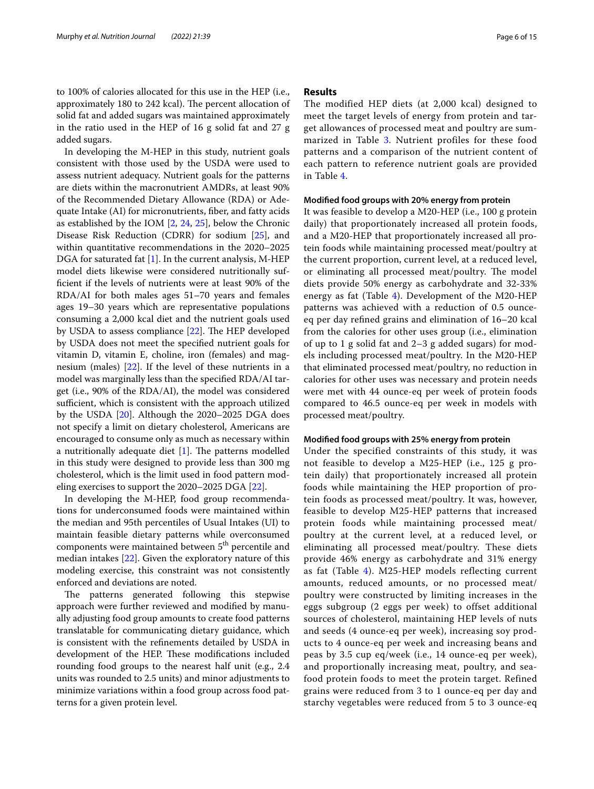to 100% of calories allocated for this use in the HEP (i.e., approximately 180 to 242 kcal). The percent allocation of solid fat and added sugars was maintained approximately in the ratio used in the HEP of 16 g solid fat and 27 g added sugars.

In developing the M-HEP in this study, nutrient goals consistent with those used by the USDA were used to assess nutrient adequacy. Nutrient goals for the patterns are diets within the macronutrient AMDRs, at least 90% of the Recommended Dietary Allowance (RDA) or Adequate Intake (AI) for micronutrients, fber, and fatty acids as established by the IOM [[2,](#page-13-1) [24,](#page-14-2) [25\]](#page-14-3), below the Chronic Disease Risk Reduction (CDRR) for sodium [\[25](#page-14-3)], and within quantitative recommendations in the 2020–2025 DGA for saturated fat [[1\]](#page-13-0). In the current analysis, M-HEP model diets likewise were considered nutritionally suffcient if the levels of nutrients were at least 90% of the RDA/AI for both males ages 51–70 years and females ages 19–30 years which are representative populations consuming a 2,000 kcal diet and the nutrient goals used by USDA to assess compliance [\[22](#page-14-0)]. The HEP developed by USDA does not meet the specifed nutrient goals for vitamin D, vitamin E, choline, iron (females) and magnesium (males) [\[22](#page-14-0)]. If the level of these nutrients in a model was marginally less than the specifed RDA/AI target (i.e., 90% of the RDA/AI), the model was considered sufficient, which is consistent with the approach utilized by the USDA [[20](#page-13-18)]. Although the 2020–2025 DGA does not specify a limit on dietary cholesterol, Americans are encouraged to consume only as much as necessary within a nutritionally adequate diet  $[1]$  $[1]$ . The patterns modelled in this study were designed to provide less than 300 mg cholesterol, which is the limit used in food pattern modeling exercises to support the 2020–2025 DGA [[22](#page-14-0)].

In developing the M-HEP, food group recommendations for underconsumed foods were maintained within the median and 95th percentiles of Usual Intakes (UI) to maintain feasible dietary patterns while overconsumed components were maintained between 5<sup>th</sup> percentile and median intakes [[22\]](#page-14-0). Given the exploratory nature of this modeling exercise, this constraint was not consistently enforced and deviations are noted.

The patterns generated following this stepwise approach were further reviewed and modifed by manually adjusting food group amounts to create food patterns translatable for communicating dietary guidance, which is consistent with the refnements detailed by USDA in development of the HEP. These modifications included rounding food groups to the nearest half unit (e.g., 2.4 units was rounded to 2.5 units) and minor adjustments to minimize variations within a food group across food patterns for a given protein level.

# **Results**

The modified HEP diets (at 2,000 kcal) designed to meet the target levels of energy from protein and target allowances of processed meat and poultry are sum-marized in Table [3](#page-6-0). Nutrient profiles for these food patterns and a comparison of the nutrient content of each pattern to reference nutrient goals are provided in Table [4](#page-7-0).

# **Modifed food groups with 20% energy from protein**

It was feasible to develop a M20-HEP (i.e., 100 g protein daily) that proportionately increased all protein foods, and a M20-HEP that proportionately increased all protein foods while maintaining processed meat/poultry at the current proportion, current level, at a reduced level, or eliminating all processed meat/poultry. The model diets provide 50% energy as carbohydrate and 32-33% energy as fat (Table  $4$ ). Development of the M20-HEP patterns was achieved with a reduction of 0.5 ounceeq per day refned grains and elimination of 16–20 kcal from the calories for other uses group (i.e., elimination of up to 1 g solid fat and 2–3 g added sugars) for models including processed meat/poultry. In the M20-HEP that eliminated processed meat/poultry, no reduction in calories for other uses was necessary and protein needs were met with 44 ounce-eq per week of protein foods compared to 46.5 ounce-eq per week in models with processed meat/poultry.

# **Modifed food groups with 25% energy from protein**

Under the specified constraints of this study, it was not feasible to develop a M25-HEP (i.e., 125 g protein daily) that proportionately increased all protein foods while maintaining the HEP proportion of protein foods as processed meat/poultry. It was, however, feasible to develop M25-HEP patterns that increased protein foods while maintaining processed meat/ poultry at the current level, at a reduced level, or eliminating all processed meat/poultry. These diets provide 46% energy as carbohydrate and 31% energy as fat (Table [4\)](#page-7-0). M25-HEP models reflecting current amounts, reduced amounts, or no processed meat/ poultry were constructed by limiting increases in the eggs subgroup (2 eggs per week) to offset additional sources of cholesterol, maintaining HEP levels of nuts and seeds (4 ounce-eq per week), increasing soy products to 4 ounce-eq per week and increasing beans and peas by 3.5 cup eq/week (i.e., 14 ounce-eq per week), and proportionally increasing meat, poultry, and seafood protein foods to meet the protein target. Refined grains were reduced from 3 to 1 ounce-eq per day and starchy vegetables were reduced from 5 to 3 ounce-eq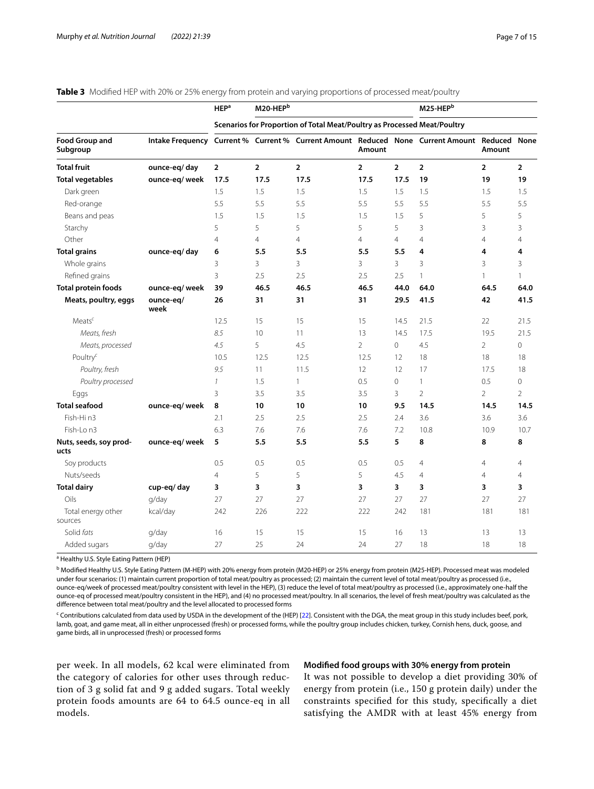| Page 7 of 15 |  |  |  |
|--------------|--|--|--|
|              |  |  |  |

<span id="page-6-0"></span>

|  |  |  | Table 3 Modified HEP with 20% or 25% energy from protein and varying proportions of processed meat/poultry |  |  |  |  |  |
|--|--|--|------------------------------------------------------------------------------------------------------------|--|--|--|--|--|
|--|--|--|------------------------------------------------------------------------------------------------------------|--|--|--|--|--|

|                                   |                                                                                              | <b>HEP</b> <sup>a</sup> | $M20-HEPb$     |                                                                          |                |                | M25-HEPb       |                |                |
|-----------------------------------|----------------------------------------------------------------------------------------------|-------------------------|----------------|--------------------------------------------------------------------------|----------------|----------------|----------------|----------------|----------------|
|                                   |                                                                                              |                         |                | Scenarios for Proportion of Total Meat/Poultry as Processed Meat/Poultry |                |                |                |                |                |
| <b>Food Group and</b><br>Subgroup | Intake Frequency Current % Current % Current Amount Reduced None Current Amount Reduced None |                         |                |                                                                          | Amount         |                |                | Amount         |                |
| <b>Total fruit</b>                | ounce-eq/day                                                                                 | $\overline{2}$          | $\overline{2}$ | $\overline{2}$                                                           | $\overline{2}$ | $\overline{2}$ | $\overline{2}$ | $\overline{2}$ | $\overline{2}$ |
| <b>Total vegetables</b>           | ounce-eq/week                                                                                | 17.5                    | 17.5           | 17.5                                                                     | 17.5           | 17.5           | 19             | 19             | 19             |
| Dark green                        |                                                                                              | 1.5                     | 1.5            | 1.5                                                                      | 1.5            | 1.5            | 1.5            | 1.5            | 1.5            |
| Red-orange                        |                                                                                              | 5.5                     | 5.5            | 5.5                                                                      | 5.5            | 5.5            | 5.5            | 5.5            | 5.5            |
| Beans and peas                    |                                                                                              | 1.5                     | 1.5            | 1.5                                                                      | 1.5            | 1.5            | 5              | 5              | 5              |
| Starchy                           |                                                                                              | 5                       | 5              | 5                                                                        | 5              | 5              | 3              | 3              | 3              |
| Other                             |                                                                                              | $\overline{4}$          | $\overline{4}$ | $\overline{4}$                                                           | $\overline{4}$ | $\overline{4}$ | $\overline{4}$ | $\overline{4}$ | $\overline{4}$ |
| <b>Total grains</b>               | ounce-eq/day                                                                                 | 6                       | 5.5            | 5.5                                                                      | 5.5            | 5.5            | 4              | 4              | 4              |
| Whole grains                      |                                                                                              | 3                       | 3              | 3                                                                        | 3              | 3              | 3              | 3              | 3              |
| Refined grains                    |                                                                                              | $\overline{3}$          | 2.5            | 2.5                                                                      | 2.5            | 2.5            | $\mathbf{1}$   | $\mathbf{1}$   | $\mathbf{1}$   |
| <b>Total protein foods</b>        | ounce-eq/week                                                                                | 39                      | 46.5           | 46.5                                                                     | 46.5           | 44.0           | 64.0           | 64.5           | 64.0           |
| Meats, poultry, eggs              | ounce-eq/<br>week                                                                            | 26                      | 31             | 31                                                                       | 31             | 29.5           | 41.5           | 42             | 41.5           |
| Meats <sup>c</sup>                |                                                                                              | 12.5                    | 15             | 15                                                                       | 15             | 14.5           | 21.5           | 22             | 21.5           |
| Meats, fresh                      |                                                                                              | 8.5                     | 10             | 11                                                                       | 13             | 14.5           | 17.5           | 19.5           | 21.5           |
| Meats, processed                  |                                                                                              | 4.5                     | 5              | 4.5                                                                      | $\overline{2}$ | $\mathbf{0}$   | 4.5            | $\overline{2}$ | 0              |
| Poultry <sup>c</sup>              |                                                                                              | 10.5                    | 12.5           | 12.5                                                                     | 12.5           | 12             | 18             | 18             | 18             |
| Poultry, fresh                    |                                                                                              | 9.5                     | 11             | 11.5                                                                     | 12             | 12             | 17             | 17.5           | 18             |
| Poultry processed                 |                                                                                              | $\mathcal{I}$           | 1.5            | 1                                                                        | 0.5            | $\Omega$       | $\mathbf{1}$   | 0.5            | 0              |
| Eggs                              |                                                                                              | 3                       | 3.5            | 3.5                                                                      | 3.5            | 3              | $\overline{2}$ | $\overline{2}$ | $\overline{2}$ |
| <b>Total seafood</b>              | ounce-eq/week                                                                                | 8                       | 10             | 10                                                                       | 10             | 9.5            | 14.5           | 14.5           | 14.5           |
| Fish-Hin3                         |                                                                                              | 2.1                     | 2.5            | 2.5                                                                      | 2.5            | 2.4            | 3.6            | 3.6            | 3.6            |
| Fish-Lon3                         |                                                                                              | 6.3                     | 7.6            | 7.6                                                                      | 7.6            | 7.2            | 10.8           | 10.9           | 10.7           |
| Nuts, seeds, soy prod-<br>ucts    | ounce-eq/week                                                                                | 5                       | 5.5            | 5.5                                                                      | 5.5            | 5              | 8              | 8              | 8              |
| Soy products                      |                                                                                              | 0.5                     | 0.5            | 0.5                                                                      | 0.5            | 0.5            | $\overline{4}$ | $\overline{4}$ | 4              |
| Nuts/seeds                        |                                                                                              | $\overline{4}$          | 5              | 5                                                                        | 5              | 4.5            | $\overline{4}$ | $\overline{4}$ | 4              |
| <b>Total dairy</b>                | cup-eq/day                                                                                   | 3                       | 3              | 3                                                                        | 3              | 3              | 3              | 3              | 3              |
| Oils                              | q/day                                                                                        | 27                      | 27             | 27                                                                       | 27             | 27             | 27             | 27             | 27             |
| Total energy other<br>sources     | kcal/day                                                                                     | 242                     | 226            | 222                                                                      | 222            | 242            | 181            | 181            | 181            |
| Solid fats                        | g/day                                                                                        | 16                      | 15             | 15                                                                       | 15             | 16             | 13             | 13             | 13             |
| Added sugars                      | g/day                                                                                        | 27                      | 25             | 24                                                                       | 24             | 27             | 18             | 18             | 18             |

<sup>a</sup> Healthy U.S. Style Eating Pattern (HEP)

<sup>b</sup> Modified Healthy U.S. Style Eating Pattern (M-HEP) with 20% energy from protein (M20-HEP) or 25% energy from protein (M25-HEP). Processed meat was modeled under four scenarios: (1) maintain current proportion of total meat/poultry as processed; (2) maintain the current level of total meat/poultry as processed (i.e., ounce-eq/week of processed meat/poultry consistent with level in the HEP), (3) reduce the level of total meat/poultry as processed (i.e., approximately one-half the ounce-eq of processed meat/poultry consistent in the HEP), and (4) no processed meat/poultry. In all scenarios, the level of fresh meat/poultry was calculated as the diference between total meat/poultry and the level allocated to processed forms

<sup>c</sup> Contributions calculated from data used by USDA in the development of the (HEP) [[22\]](#page-14-0). Consistent with the DGA, the meat group in this study includes beef, pork, lamb, goat, and game meat, all in either unprocessed (fresh) or processed forms, while the poultry group includes chicken, turkey, Cornish hens, duck, goose, and game birds, all in unprocessed (fresh) or processed forms

per week. In all models, 62 kcal were eliminated from the category of calories for other uses through reduction of 3 g solid fat and 9 g added sugars. Total weekly protein foods amounts are 64 to 64.5 ounce-eq in all models.

# **Modifed food groups with 30% energy from protein**

It was not possible to develop a diet providing 30% of energy from protein (i.e., 150 g protein daily) under the constraints specifed for this study, specifcally a diet satisfying the AMDR with at least 45% energy from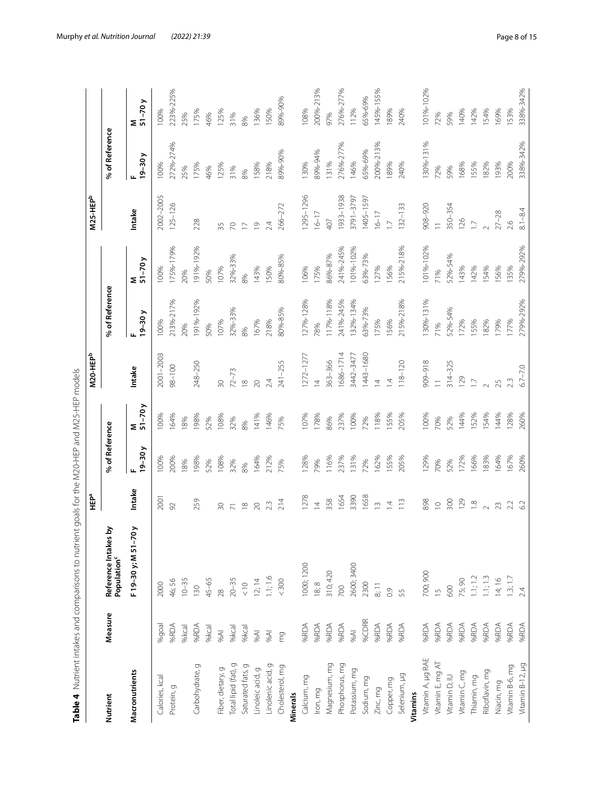|                          |         |                                                 | ى<br>۳                  |                 |           | M20-HEPb                |                |              | M25-HEPb       |                |                |
|--------------------------|---------|-------------------------------------------------|-------------------------|-----------------|-----------|-------------------------|----------------|--------------|----------------|----------------|----------------|
| Nutrient                 | Measure | Reference Intakes by<br>Population <sup>c</sup> |                         | % of Reference  |           |                         | % of Reference |              |                | % of Reference |                |
| Macronutrients           |         | F19-30 y; M 51-70 y                             | Intake                  | $19 - 30y$<br>щ | $M - 70y$ | Intake                  | $19-30y$       | $M_{51-70}y$ | Intake         | $19 - 30y$     | $M$<br>51-70 y |
| Calories, kcal           | %goal   | 2000                                            | 2001                    | 100%            | 100%      | 2001-2003               | 100%           | 100%         | 2002-2005      | 100%           | 100%           |
| Protein, g               | %RDA    | 46;56                                           | 92                      | 200%            | 164%      | $98 - 100$              | 21396-21796    | 175%-179%    | $125 - 126$    | 272%-274%      | 223%-225%      |
|                          | %kcal   | $10 - 35$                                       |                         | 18%             | 18%       |                         | 20%            | 20%          |                | 25%            | 25%            |
| Carbohydrate, g          | %RDA    | 130                                             | 259                     | 198%            | 198%      | 248-250                 | 191%-192%      | 191%-192%    | 228            | 175%           | 175%           |
|                          | %kcal   | $45 - 65$                                       |                         | 52%             | 52%       |                         | 50%            | 50%          |                | 46%            | 46%            |
| Fiber, dietary, g        | %AI     | 28                                              | $\overline{50}$         | 108%            | 108%      | $\infty$                | 107%           | 107%         | 35             | 125%           | 125%           |
| Total lipid (fat), g     | %kcal   | $20 - 35$                                       | $\overline{7}$          | 32%             | 32%       | $72 - 73$               | 32%-33%        | 32%-33%      | $\approx$      | 31%            | 31%            |
| Saturated fats, g        | %kcal   | $rac{10}{6}$                                    | $\frac{8}{10}$          | 8%              | 8%        | $\frac{\infty}{\infty}$ | 8%             | 8%           | $\overline{C}$ | 8%             | 8%             |
| Linoleic acid, g         | %AI     | 12; 14                                          | $\infty$                | 164%            | 141%      | $\infty$                | 167%           | 143%         | $\overline{0}$ | 158%           | 136%           |
| Linolenic acid, g        | %AI     | 1.1; 1.6                                        | 2.3                     | 212%            | 146%      | 2.4                     | 218%           | 150%         | 2.4            | 218%           | 150%           |
| Cholesterol, mg          | mg      | < 300                                           | 214                     | 75%             | 75%       | $241 - 255$             | 80%-85%        | 80%-85%      | 266-272        | 89%-90%        | 89%-90%        |
| Minerals                 |         |                                                 |                         |                 |           |                         |                |              |                |                |                |
| Calcium, mg              | %RDA    | 1000; 1200                                      | 1278                    | 128%            | 107%      | 1272-1277               | 127%-128%      | 106%         | 1295-1296      | 130%           | 108%           |
| Iron, mg                 | %RDA    | 18,8                                            | $\overline{4}$          | 79%             | 178%      | $\overline{4}$          | 78%            | 175%         | $16 - 17$      | 89%-94%        | 200%-213%      |
| Magnesium, mg            | %RDA    | 310;420                                         | 358                     | 116%            | 86%       | 363-366                 | 117%-118%      | 86%-87%      | 407            | 131%           | 97%            |
| Phosphorus, mg           | %RDA    | 700                                             | 1654                    | 237%            | 237%      | 1686-1714               | 241%-245%      | 241%-245%    | 1933-1938      | 276%-277%      | 276%-277%      |
| Potassium, mg            | $96A$   | 2600; 3400                                      | 3390                    | 131%            | 100%      | 3442-3477               | 132%-134%      | 101%-102%    | 3791-3797      | 146%           | 112%           |
| Sodium, mg               | %CDRR   | 2300                                            | 1658                    | 72%             | 72%       | 1443-1680               | 63%-73%        | 63%-73%      | 1405-1597      | 65%-69%        | 65%-69%        |
| Zinc, mg                 | %RDA    | 8:11                                            | $\sim$                  | 162%            | 118%      | $\overline{4}$          | 175%           | 127%         | $16 - 17$      | 200%-213%      | 145%-155%      |
| Copper, mg               | %RDA    | 0.9                                             | $\overline{4}$          | 155%            | 55%       | $\overline{4}$          | 156%           | 156%         | $\overline{1}$ | 189%           | 189%           |
| Selenium, µg             | %RDA    | 55                                              | $\frac{3}{2}$           | 205%            | 205%      | $118 - 120$             | 215%-218%      | 215%-218%    | $132 - 133$    | 240%           | 240%           |
| Vitamins                 |         |                                                 |                         |                 |           |                         |                |              |                |                |                |
| Vitamin A, µg RAE        | %RDA    | 700; 900                                        | 898                     | 129%            | 100%      | 816-606                 | 130%-131%      | 101%-102%    | 908-920        | 130%-131%      | 101%-102%      |
| Vitamin E, mg AT         | %RDA    | $\frac{5}{1}$                                   | $\supseteq$             | 70%             | 70%       | $\equiv$                | 71%            | 71%          | $\equiv$       | 72%            | 72%            |
| Vitamin D, IU            | %RDA    | 600                                             | 300                     | 52%             | 52%       | $314 - 325$             | 52%-54%        | 52%-54%      | 350-354        | 59%            | 59%            |
| Vitamin <sub>C, mg</sub> | %RDA    | 75;90                                           | 129                     | 172%            | 144%      | 129                     | 172%           | 143%         | 126            | 168%           | 140%           |
| Thiamin, mg              | %RDA    | 1.1; 1.2                                        | $\frac{\infty}{\infty}$ | 166%            | 52%       | $\Box$                  | 155%           | 142%         | $\Box$         | 155%           | 142%           |
| Riboflavin, mg           | %RDA    | 1.1; 1.3                                        | $\sim$                  | 183%            | 54%       | $\sim$                  | 182%           | 154%         |                | 182%           | 154%           |
| Niacin, mg               | %RDA    | 14;16                                           | 23                      | 164%            | 144%      | 25                      | 179%           | 56%          | $27 - 28$      | 193%           | 169%           |
| Vitamin B-6, mg          | %RDA    | 1.3; 1.7                                        | 2.2                     | 167%            | 128%      | 2.3                     | 177%           | 35%          | 2.6            | 200%           | 153%           |
| Vitamin B-12, µg         | %RDA    | 2.4                                             | 6.2                     | 260%            | 260%      | $6.7 - 7.0$             | 279%-292%      | 279%-292%    | $8.1 - 8.4$    | 338%-342%      | 338%-342%      |

<span id="page-7-0"></span>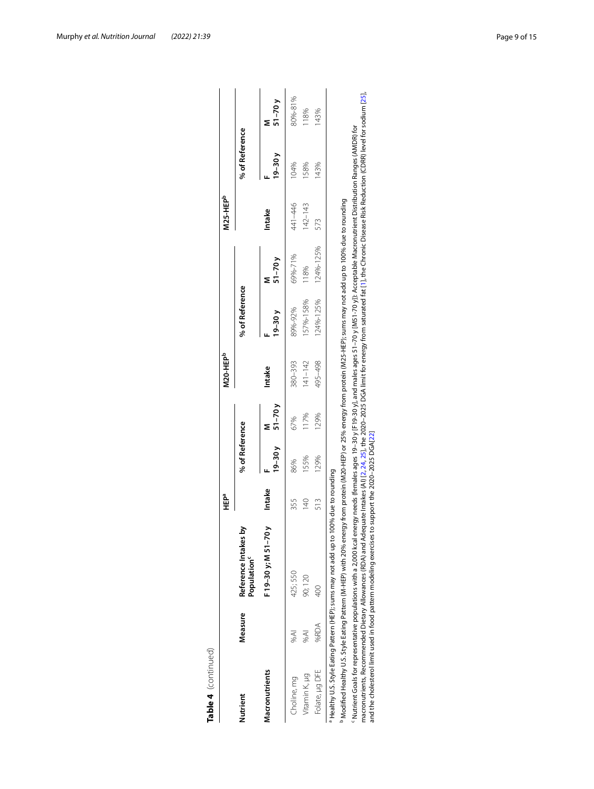| Table 4 (continued) |         |                                                                                                                                                                                                                                                                                                                                                                                                                                                                                                                                               | n<br>∃     |                |            | <b>M20-HEP</b> <sup>b</sup> |                |            | M25-HEP <sup>b</sup> |                |            |
|---------------------|---------|-----------------------------------------------------------------------------------------------------------------------------------------------------------------------------------------------------------------------------------------------------------------------------------------------------------------------------------------------------------------------------------------------------------------------------------------------------------------------------------------------------------------------------------------------|------------|----------------|------------|-----------------------------|----------------|------------|----------------------|----------------|------------|
| Nutrient            | Measure | Reference Intakes by<br>Population <sup>c</sup>                                                                                                                                                                                                                                                                                                                                                                                                                                                                                               |            | % of Reference |            |                             | % of Reference |            |                      | % of Reference |            |
| Macronutrients      |         | F 19–30 y; M 51–70 )                                                                                                                                                                                                                                                                                                                                                                                                                                                                                                                          | Intake     | $19 - 30y$     | $51 - 70y$ | Intake                      | $19 - 30y$     | $51 - 70y$ | Intake               | $19 - 30y$     | $51 - 70y$ |
| Choline, mg         | %AI     | 425; 550                                                                                                                                                                                                                                                                                                                                                                                                                                                                                                                                      | 355        | 86%            | 67%        | 380-393                     | 89%-92%        | 69%-71%    | 441-446              | 104%           | 80%-81%    |
| Vitamin K, µg       | W%      | 90;120                                                                                                                                                                                                                                                                                                                                                                                                                                                                                                                                        | $\sqrt{4}$ | 155%           | 117%       | $ 41 - 142$                 | 157%-158%      | 118%       | $142 - 143$          | 158%           | 118%       |
| Folate, µg DFE      | %RDA    | 400                                                                                                                                                                                                                                                                                                                                                                                                                                                                                                                                           | 513        | 129%           | 129%       | 495-498                     | 124%-125%      | 124%-125%  | 573                  | 143%           | 143%       |
|                     |         | Modified Healthy U.S. Style Eating Pattern (M-HEP) with 20% energy from protein (M2C-HEP) or 25% energy from protein (M25-HEP); sums may not add up to 100% due to rounding<br><sup>a</sup> Healthy U.S. Style Eating Pattern (HEP); sums may not add up to 100% due to rounding                                                                                                                                                                                                                                                              |            |                |            |                             |                |            |                      |                |            |
|                     |         | macronutrients, Recommended Dietary Allowances (RDA) and Adequate Intakes (AI) [2, 24, 25], the 2020-2025 DGA limit for energy from saturated fat [1], the Chronic Disease Risk Reduction (CDRR) level for sodium [25],<br><sup>c</sup> Nutrient Goals for representative populations with a 2,000 kcal energy needs (females ages 19-30 y). and males ages 51–70 y[M51-70 y]): Acceptable Macronutrient Distribution Ranges (AMDR) for<br>and the cholesterol limit used in food pattern modeling exercises to support the 2020-2025 DGA[22] |            |                |            |                             |                |            |                      |                |            |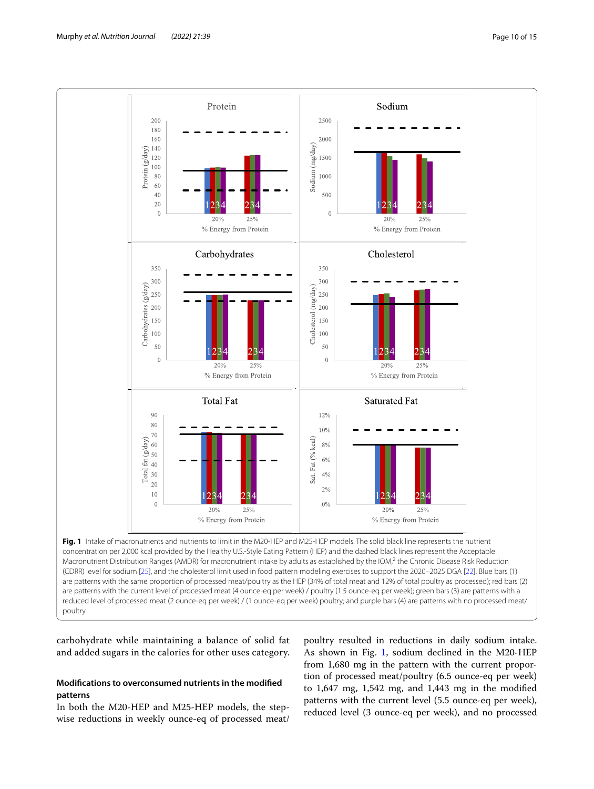

<span id="page-9-0"></span>concentration per 2,000 kcal provided by the Healthy U.S.-Style Eating Pattern (HEP) and the dashed black lines represent the Acceptable Macronutrient Distribution Ranges (AMDR) for macronutrient intake by adults as established by the IOM,<sup>2</sup> the Chronic Disease Risk Reduction (CDRR) level for sodium [\[25](#page-14-3)], and the cholesterol limit used in food pattern modeling exercises to support the 2020–2025 DGA [\[22\]](#page-14-0). Blue bars (1) are patterns with the same proportion of processed meat/poultry as the HEP (34% of total meat and 12% of total poultry as processed); red bars (2) are patterns with the current level of processed meat (4 ounce-eq per week) / poultry (1.5 ounce-eq per week); green bars (3) are patterns with a reduced level of processed meat (2 ounce-eq per week) / (1 ounce-eq per week) poultry; and purple bars (4) are patterns with no processed meat/ poultry

carbohydrate while maintaining a balance of solid fat and added sugars in the calories for other uses category.

# **Modifcations to overconsumed nutrients in the modifed patterns**

In both the M20-HEP and M25-HEP models, the stepwise reductions in weekly ounce-eq of processed meat/

poultry resulted in reductions in daily sodium intake. As shown in Fig. [1](#page-9-0), sodium declined in the M20-HEP from 1,680 mg in the pattern with the current proportion of processed meat/poultry (6.5 ounce-eq per week) to 1,647 mg, 1,542 mg, and 1,443 mg in the modifed patterns with the current level (5.5 ounce-eq per week), reduced level (3 ounce-eq per week), and no processed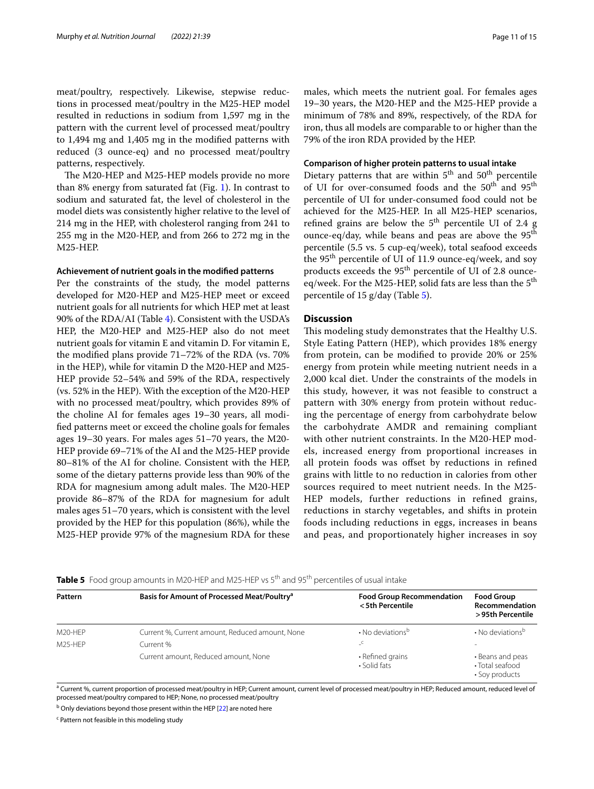meat/poultry, respectively. Likewise, stepwise reductions in processed meat/poultry in the M25-HEP model resulted in reductions in sodium from 1,597 mg in the pattern with the current level of processed meat/poultry to 1,494 mg and 1,405 mg in the modifed patterns with reduced (3 ounce-eq) and no processed meat/poultry patterns, respectively.

The M20-HEP and M25-HEP models provide no more than 8% energy from saturated fat (Fig. [1\)](#page-9-0). In contrast to sodium and saturated fat, the level of cholesterol in the model diets was consistently higher relative to the level of 214 mg in the HEP, with cholesterol ranging from 241 to 255 mg in the M20-HEP, and from 266 to 272 mg in the M25-HEP.

#### **Achievement of nutrient goals in the modifed patterns**

Per the constraints of the study, the model patterns developed for M20-HEP and M25-HEP meet or exceed nutrient goals for all nutrients for which HEP met at least 90% of the RDA/AI (Table [4](#page-7-0)). Consistent with the USDA's HEP, the M20-HEP and M25-HEP also do not meet nutrient goals for vitamin E and vitamin D. For vitamin E, the modifed plans provide 71–72% of the RDA (vs. 70% in the HEP), while for vitamin D the M20-HEP and M25- HEP provide 52–54% and 59% of the RDA, respectively (vs. 52% in the HEP). With the exception of the M20-HEP with no processed meat/poultry, which provides 89% of the choline AI for females ages 19–30 years, all modifed patterns meet or exceed the choline goals for females ages 19–30 years. For males ages 51–70 years, the M20- HEP provide 69–71% of the AI and the M25-HEP provide 80–81% of the AI for choline. Consistent with the HEP, some of the dietary patterns provide less than 90% of the RDA for magnesium among adult males. The M20-HEP provide 86–87% of the RDA for magnesium for adult males ages 51–70 years, which is consistent with the level provided by the HEP for this population (86%), while the M25-HEP provide 97% of the magnesium RDA for these males, which meets the nutrient goal. For females ages 19–30 years, the M20-HEP and the M25-HEP provide a minimum of 78% and 89%, respectively, of the RDA for iron, thus all models are comparable to or higher than the 79% of the iron RDA provided by the HEP.

## **Comparison of higher protein patterns to usual intake**

Dietary patterns that are within  $5<sup>th</sup>$  and  $50<sup>th</sup>$  percentile of UI for over-consumed foods and the 50<sup>th</sup> and 95<sup>th</sup> percentile of UI for under-consumed food could not be achieved for the M25-HEP. In all M25-HEP scenarios, refined grains are below the  $5<sup>th</sup>$  percentile UI of 2.4 g ounce-eq/day, while beans and peas are above the  $95<sup>th</sup>$ percentile (5.5 vs. 5 cup-eq/week), total seafood exceeds the 95th percentile of UI of 11.9 ounce-eq/week, and soy products exceeds the 95<sup>th</sup> percentile of UI of 2.8 ounceeq/week. For the M25-HEP, solid fats are less than the 5<sup>th</sup> percentile of 15 g/day (Table [5\)](#page-10-0).

## **Discussion**

This modeling study demonstrates that the Healthy U.S. Style Eating Pattern (HEP), which provides 18% energy from protein, can be modifed to provide 20% or 25% energy from protein while meeting nutrient needs in a 2,000 kcal diet. Under the constraints of the models in this study, however, it was not feasible to construct a pattern with 30% energy from protein without reducing the percentage of energy from carbohydrate below the carbohydrate AMDR and remaining compliant with other nutrient constraints. In the M20-HEP models, increased energy from proportional increases in all protein foods was offset by reductions in refined grains with little to no reduction in calories from other sources required to meet nutrient needs. In the M25- HEP models, further reductions in refned grains, reductions in starchy vegetables, and shifts in protein foods including reductions in eggs, increases in beans and peas, and proportionately higher increases in soy

| Pattern              | Basis for Amount of Processed Meat/Poultry <sup>a</sup> | <b>Food Group Recommendation</b><br>< 5th Percentile | <b>Food Group</b><br>Recommendation<br>>95th Percentile |
|----------------------|---------------------------------------------------------|------------------------------------------------------|---------------------------------------------------------|
| M20-HEP              | Current %, Current amount, Reduced amount, None         | • No deviations <sup>b</sup>                         | • No deviations <sup>b</sup>                            |
| M <sub>25</sub> -HFP | Current %                                               |                                                      | $\overline{\phantom{a}}$                                |
|                      | Current amount, Reduced amount, None                    | • Refined grains<br>• Solid fats                     | • Beans and peas<br>• Total seafood<br>• Soy products   |

<span id="page-10-0"></span>**Table 5** Food group amounts in M20-HEP and M25-HEP vs 5<sup>th</sup> and 95<sup>th</sup> percentiles of usual intake

<sup>a</sup> Current %, current proportion of processed meat/poultry in HEP; Current amount, current level of processed meat/poultry in HEP; Reduced amount, reduced level of processed meat/poultry compared to HEP; None, no processed meat/poultry

<sup>b</sup> Only deviations beyond those present within the HEP [[22\]](#page-14-0) are noted here

<sup>c</sup> Pattern not feasible in this modeling study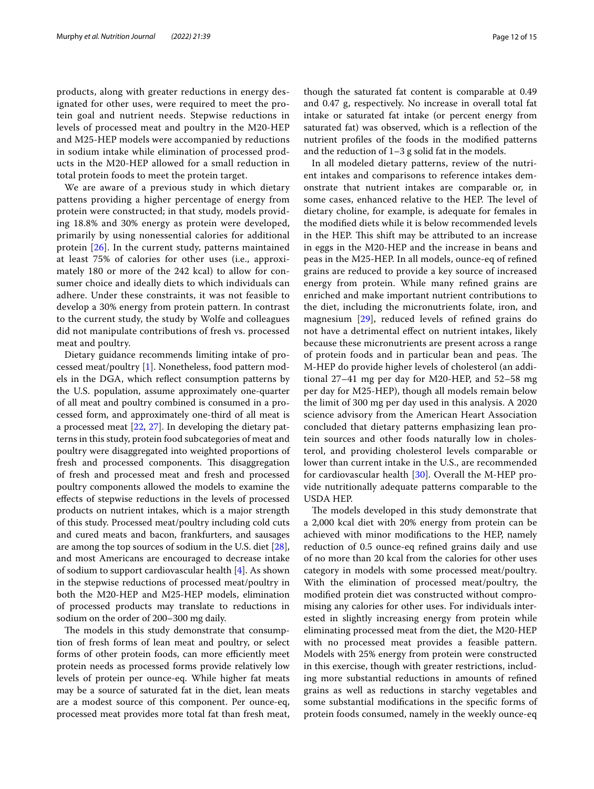products, along with greater reductions in energy designated for other uses, were required to meet the protein goal and nutrient needs. Stepwise reductions in levels of processed meat and poultry in the M20-HEP and M25-HEP models were accompanied by reductions in sodium intake while elimination of processed products in the M20-HEP allowed for a small reduction in total protein foods to meet the protein target.

We are aware of a previous study in which dietary pattens providing a higher percentage of energy from protein were constructed; in that study, models providing 18.8% and 30% energy as protein were developed, primarily by using nonessential calories for additional protein [[26](#page-14-4)]. In the current study, patterns maintained at least 75% of calories for other uses (i.e., approximately 180 or more of the 242 kcal) to allow for consumer choice and ideally diets to which individuals can adhere. Under these constraints, it was not feasible to develop a 30% energy from protein pattern. In contrast to the current study, the study by Wolfe and colleagues did not manipulate contributions of fresh vs. processed meat and poultry.

Dietary guidance recommends limiting intake of processed meat/poultry [[1\]](#page-13-0). Nonetheless, food pattern models in the DGA, which refect consumption patterns by the U.S. population, assume approximately one-quarter of all meat and poultry combined is consumed in a processed form, and approximately one-third of all meat is a processed meat [\[22](#page-14-0), [27](#page-14-5)]. In developing the dietary patterns in this study, protein food subcategories of meat and poultry were disaggregated into weighted proportions of fresh and processed components. This disaggregation of fresh and processed meat and fresh and processed poultry components allowed the models to examine the efects of stepwise reductions in the levels of processed products on nutrient intakes, which is a major strength of this study. Processed meat/poultry including cold cuts and cured meats and bacon, frankfurters, and sausages are among the top sources of sodium in the U.S. diet [\[28](#page-14-6)], and most Americans are encouraged to decrease intake of sodium to support cardiovascular health [[4\]](#page-13-3). As shown in the stepwise reductions of processed meat/poultry in both the M20-HEP and M25-HEP models, elimination of processed products may translate to reductions in sodium on the order of 200–300 mg daily.

The models in this study demonstrate that consumption of fresh forms of lean meat and poultry, or select forms of other protein foods, can more efficiently meet protein needs as processed forms provide relatively low levels of protein per ounce-eq. While higher fat meats may be a source of saturated fat in the diet, lean meats are a modest source of this component. Per ounce-eq, processed meat provides more total fat than fresh meat, though the saturated fat content is comparable at 0.49 and 0.47 g, respectively. No increase in overall total fat intake or saturated fat intake (or percent energy from saturated fat) was observed, which is a refection of the nutrient profles of the foods in the modifed patterns and the reduction of 1–3 g solid fat in the models.

In all modeled dietary patterns, review of the nutrient intakes and comparisons to reference intakes demonstrate that nutrient intakes are comparable or, in some cases, enhanced relative to the HEP. The level of dietary choline, for example, is adequate for females in the modifed diets while it is below recommended levels in the HEP. This shift may be attributed to an increase in eggs in the M20-HEP and the increase in beans and peas in the M25-HEP. In all models, ounce-eq of refned grains are reduced to provide a key source of increased energy from protein. While many refned grains are enriched and make important nutrient contributions to the diet, including the micronutrients folate, iron, and magnesium [\[29\]](#page-14-7), reduced levels of refned grains do not have a detrimental efect on nutrient intakes, likely because these micronutrients are present across a range of protein foods and in particular bean and peas. The M-HEP do provide higher levels of cholesterol (an additional 27–41 mg per day for M20-HEP, and 52–58 mg per day for M25-HEP), though all models remain below the limit of 300 mg per day used in this analysis. A 2020 science advisory from the American Heart Association concluded that dietary patterns emphasizing lean protein sources and other foods naturally low in cholesterol, and providing cholesterol levels comparable or lower than current intake in the U.S., are recommended for cardiovascular health [\[30](#page-14-8)]. Overall the M-HEP provide nutritionally adequate patterns comparable to the USDA HEP.

The models developed in this study demonstrate that a 2,000 kcal diet with 20% energy from protein can be achieved with minor modifcations to the HEP, namely reduction of 0.5 ounce-eq refned grains daily and use of no more than 20 kcal from the calories for other uses category in models with some processed meat/poultry. With the elimination of processed meat/poultry, the modifed protein diet was constructed without compromising any calories for other uses. For individuals interested in slightly increasing energy from protein while eliminating processed meat from the diet, the M20-HEP with no processed meat provides a feasible pattern. Models with 25% energy from protein were constructed in this exercise, though with greater restrictions, including more substantial reductions in amounts of refned grains as well as reductions in starchy vegetables and some substantial modifcations in the specifc forms of protein foods consumed, namely in the weekly ounce-eq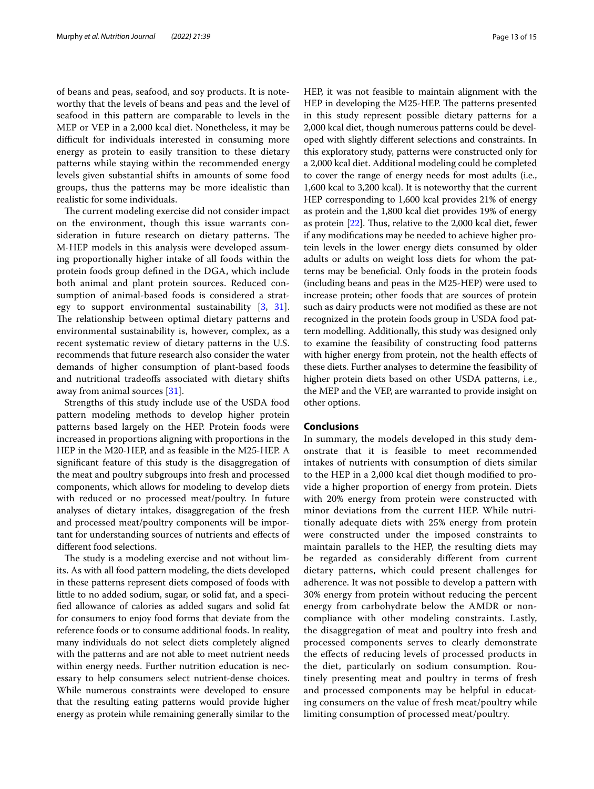of beans and peas, seafood, and soy products. It is noteworthy that the levels of beans and peas and the level of seafood in this pattern are comparable to levels in the MEP or VEP in a 2,000 kcal diet. Nonetheless, it may be difficult for individuals interested in consuming more energy as protein to easily transition to these dietary patterns while staying within the recommended energy levels given substantial shifts in amounts of some food groups, thus the patterns may be more idealistic than realistic for some individuals.

The current modeling exercise did not consider impact on the environment, though this issue warrants consideration in future research on dietary patterns. The M-HEP models in this analysis were developed assuming proportionally higher intake of all foods within the protein foods group defned in the DGA, which include both animal and plant protein sources. Reduced consumption of animal-based foods is considered a strategy to support environmental sustainability [[3,](#page-13-2) [31](#page-14-9)]. The relationship between optimal dietary patterns and environmental sustainability is, however, complex, as a recent systematic review of dietary patterns in the U.S. recommends that future research also consider the water demands of higher consumption of plant-based foods and nutritional tradeofs associated with dietary shifts away from animal sources [\[31](#page-14-9)].

Strengths of this study include use of the USDA food pattern modeling methods to develop higher protein patterns based largely on the HEP. Protein foods were increased in proportions aligning with proportions in the HEP in the M20-HEP, and as feasible in the M25-HEP. A signifcant feature of this study is the disaggregation of the meat and poultry subgroups into fresh and processed components, which allows for modeling to develop diets with reduced or no processed meat/poultry. In future analyses of dietary intakes, disaggregation of the fresh and processed meat/poultry components will be important for understanding sources of nutrients and efects of diferent food selections.

The study is a modeling exercise and not without limits. As with all food pattern modeling, the diets developed in these patterns represent diets composed of foods with little to no added sodium, sugar, or solid fat, and a specifed allowance of calories as added sugars and solid fat for consumers to enjoy food forms that deviate from the reference foods or to consume additional foods. In reality, many individuals do not select diets completely aligned with the patterns and are not able to meet nutrient needs within energy needs. Further nutrition education is necessary to help consumers select nutrient-dense choices. While numerous constraints were developed to ensure that the resulting eating patterns would provide higher energy as protein while remaining generally similar to the HEP, it was not feasible to maintain alignment with the HEP in developing the M25-HEP. The patterns presented in this study represent possible dietary patterns for a 2,000 kcal diet, though numerous patterns could be developed with slightly diferent selections and constraints. In this exploratory study, patterns were constructed only for a 2,000 kcal diet. Additional modeling could be completed to cover the range of energy needs for most adults (i.e., 1,600 kcal to 3,200 kcal). It is noteworthy that the current HEP corresponding to 1,600 kcal provides 21% of energy as protein and the 1,800 kcal diet provides 19% of energy as protein  $[22]$ . Thus, relative to the 2,000 kcal diet, fewer if any modifcations may be needed to achieve higher protein levels in the lower energy diets consumed by older adults or adults on weight loss diets for whom the patterns may be benefcial. Only foods in the protein foods (including beans and peas in the M25-HEP) were used to increase protein; other foods that are sources of protein such as dairy products were not modifed as these are not recognized in the protein foods group in USDA food pattern modelling. Additionally, this study was designed only to examine the feasibility of constructing food patterns with higher energy from protein, not the health effects of these diets. Further analyses to determine the feasibility of higher protein diets based on other USDA patterns, i.e., the MEP and the VEP, are warranted to provide insight on other options.

## **Conclusions**

In summary, the models developed in this study demonstrate that it is feasible to meet recommended intakes of nutrients with consumption of diets similar to the HEP in a 2,000 kcal diet though modifed to provide a higher proportion of energy from protein. Diets with 20% energy from protein were constructed with minor deviations from the current HEP. While nutritionally adequate diets with 25% energy from protein were constructed under the imposed constraints to maintain parallels to the HEP, the resulting diets may be regarded as considerably diferent from current dietary patterns, which could present challenges for adherence. It was not possible to develop a pattern with 30% energy from protein without reducing the percent energy from carbohydrate below the AMDR or noncompliance with other modeling constraints. Lastly, the disaggregation of meat and poultry into fresh and processed components serves to clearly demonstrate the efects of reducing levels of processed products in the diet, particularly on sodium consumption. Routinely presenting meat and poultry in terms of fresh and processed components may be helpful in educating consumers on the value of fresh meat/poultry while limiting consumption of processed meat/poultry.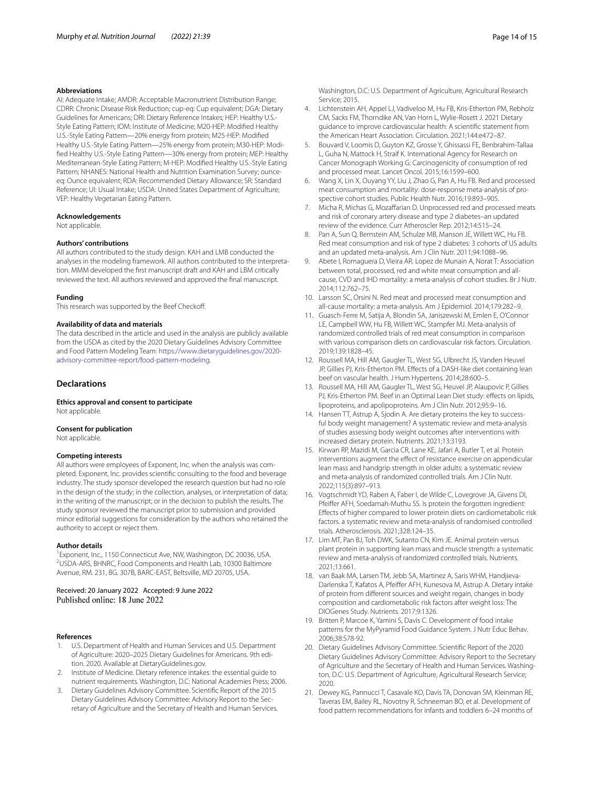#### **Abbreviations**

AI: Adequate Intake; AMDR: Acceptable Macronutrient Distribution Range; CDRR: Chronic Disease Risk Reduction; cup-eq: Cup equivalent; DGA: Dietary Guidelines for Americans; DRI: Dietary Reference Intakes; HEP: Healthy U.S.- Style Eating Pattern; IOM: Institute of Medicine; M20-HEP: Modifed Healthy U.S.-Style Eating Pattern—20% energy from protein; M25-HEP: Modifed Healthy U.S.-Style Eating Pattern—25% energy from protein; M30-HEP: Modifed Healthy U.S.-Style Eating Pattern—30% energy from protein; MEP: Healthy Mediterranean-Style Eating Pattern; M-HEP: Modifed Healthy U.S.-Style Eating Pattern; NHANES: National Health and Nutrition Examination Survey; ounceeq: Ounce equivalent; RDA: Recommended Dietary Allowance; SR: Standard Reference; UI: Usual Intake; USDA: United States Department of Agriculture; VEP: Healthy Vegetarian Eating Pattern.

#### **Acknowledgements**

Not applicable.

#### **Authors' contributions**

All authors contributed to the study design. KAH and LMB conducted the analyses in the modeling framework. All authors contributed to the interpretation. MMM developed the frst manuscript draft and KAH and LBM critically reviewed the text. All authors reviewed and approved the fnal manuscript.

#### **Funding**

This research was supported by the Beef Checkoff.

#### **Availability of data and materials**

The data described in the article and used in the analysis are publicly available from the USDA as cited by the 2020 Dietary Guidelines Advisory Committee and Food Pattern Modeling Team: [https://www.dietaryguidelines.gov/2020](https://www.dietaryguidelines.gov/2020-advisory-committee-report/food-pattern-modeling) [advisory-committee-report/food-pattern-modeling](https://www.dietaryguidelines.gov/2020-advisory-committee-report/food-pattern-modeling).

#### **Declarations**

**Ethics approval and consent to participate** Not applicable.

# **Consent for publication**

Not applicable.

#### **Competing interests**

All authors were employees of Exponent, Inc. when the analysis was completed. Exponent, Inc. provides scientifc consulting to the food and beverage industry. The study sponsor developed the research question but had no role in the design of the study; in the collection, analyses, or interpretation of data; in the writing of the manuscript; or in the decision to publish the results. The study sponsor reviewed the manuscript prior to submission and provided minor editorial suggestions for consideration by the authors who retained the authority to accept or reject them.

#### **Author details**

<sup>1</sup> Exponent, Inc., 1150 Connecticut Ave, NW, Washington, DC 20036, USA. 2 USDA-ARS, BHNRC, Food Components and Health Lab, 10300 Baltimore Avenue, RM. 231, BG. 307B, BARC-EAST, Beltsville, MD 20705, USA.

Received: 20 January 2022 Accepted: 9 June 2022

#### **References**

- <span id="page-13-0"></span>1. U.S. Department of Health and Human Services and U.S. Department of Agriculture: 2020–2025 Dietary Guidelines for Americans. 9th edition. 2020. Available at DietaryGuidelines.gov.
- <span id="page-13-1"></span>2. Institute of Medicine. Dietary reference intakes: the essential guide to nutrient requirements. Washington, D.C: National Academies Press; 2006.
- <span id="page-13-2"></span>3. Dietary Guidelines Advisory Committee. Scientifc Report of the 2015 Dietary Guidelines Advisory Committee: Advisory Report to the Secretary of Agriculture and the Secretary of Health and Human Services.

Washington, D.C: U.S. Department of Agriculture, Agricultural Research Service; 2015.

- <span id="page-13-3"></span>4. Lichtenstein AH, Appel LJ, Vadiveloo M, Hu FB, Kris-Etherton PM, Rebholz CM, Sacks FM, Thorndike AN, Van Horn L, Wylie-Rosett J. 2021 Dietary guidance to improve cardiovascular health: A scientifc statement from the American Heart Association. Circulation. 2021;144:e472–87.
- <span id="page-13-4"></span>5. Bouvard V, Loomis D, Guyton KZ, Grosse Y, Ghissassi FE, Benbrahim-Tallaa L, Guha N, Mattock H, Straif K. International Agency for Research on Cancer Monograph Working G: Carcinogenicity of consumption of red and processed meat. Lancet Oncol. 2015;16:1599–600.
- 6. Wang X, Lin X, Ouyang YY, Liu J, Zhao G, Pan A, Hu FB. Red and processed meat consumption and mortality: dose-response meta-analysis of prospective cohort studies. Public Health Nutr. 2016;19:893–905.
- 7. Micha R, Michas G, Mozafarian D. Unprocessed red and processed meats and risk of coronary artery disease and type 2 diabetes–an updated review of the evidence. Curr Atheroscler Rep. 2012;14:515–24.
- <span id="page-13-5"></span>8. Pan A, Sun Q, Bernstein AM, Schulze MB, Manson JE, Willett WC, Hu FB. Red meat consumption and risk of type 2 diabetes: 3 cohorts of US adults and an updated meta-analysis. Am J Clin Nutr. 2011;94:1088–96.
- <span id="page-13-6"></span>9. Abete I, Romaguera D, Vieira AR. Lopez de Munain A, Norat T: Association between total, processed, red and white meat consumption and allcause, CVD and IHD mortality: a meta-analysis of cohort studies. Br J Nutr. 2014;112:762–75.
- <span id="page-13-7"></span>10. Larsson SC, Orsini N. Red meat and processed meat consumption and all-cause mortality: a meta-analysis. Am J Epidemiol. 2014;179:282–9.
- <span id="page-13-8"></span>11. Guasch-Ferre M, Satija A, Blondin SA, Janiszewski M, Emlen E, O'Connor LE, Campbell WW, Hu FB, Willett WC, Stampfer MJ. Meta-analysis of randomized controlled trials of red meat consumption in comparison with various comparison diets on cardiovascular risk factors. Circulation. 2019;139:1828–45.
- <span id="page-13-9"></span>12. Roussell MA, Hill AM, Gaugler TL, West SG, Ulbrecht JS, Vanden Heuvel JP, Gillies PJ, Kris-Etherton PM. Efects of a DASH-like diet containing lean beef on vascular health. J Hum Hypertens. 2014;28:600–5.
- <span id="page-13-10"></span>13. Roussell MA, Hill AM, Gaugler TL, West SG, Heuvel JP, Alaupovic P, Gillies PJ, Kris-Etherton PM. Beef in an Optimal Lean Diet study: effects on lipids, lipoproteins, and apolipoproteins. Am J Clin Nutr. 2012;95:9–16.
- <span id="page-13-11"></span>14. Hansen TT, Astrup A, Sjodin A. Are dietary proteins the key to successful body weight management? A systematic review and meta-analysis of studies assessing body weight outcomes after interventions with increased dietary protein. Nutrients. 2021;13:3193.
- <span id="page-13-12"></span>15. Kirwan RP, Mazidi M, Garcia CR, Lane KE, Jafari A, Butler T, et al. Protein interventions augment the effect of resistance exercise on appendicular lean mass and handgrip strength in older adults: a systematic review and meta-analysis of randomized controlled trials. Am J Clin Nutr. 2022;115(3):897–913.
- <span id="page-13-13"></span>16. Vogtschmidt YD, Raben A, Faber I, de Wilde C, Lovegrove JA, Givens DI, Pfeifer AFH, Soedamah-Muthu SS. Is protein the forgotten ingredient: Efects of higher compared to lower protein diets on cardiometabolic risk factors. a systematic review and meta-analysis of randomised controlled trials. Atherosclerosis. 2021;328:124–35.
- <span id="page-13-14"></span>17. Lim MT, Pan BJ, Toh DWK, Sutanto CN, Kim JE. Animal protein versus plant protein in supporting lean mass and muscle strength: a systematic review and meta-analysis of randomized controlled trials. Nutrients. 2021;13:661.
- <span id="page-13-15"></span>18. van Baak MA, Larsen TM, Jebb SA, Martinez A, Saris WHM, Handjieva-Darlenska T, Kafatos A, Pfeifer AFH, Kunesova M, Astrup A. Dietary intake of protein from diferent sources and weight regain, changes in body composition and cardiometabolic risk factors after weight loss: The DIOGenes Study. Nutrients. 2017;9:1326.
- <span id="page-13-16"></span>19. Britten P, Marcoe K, Yamini S, Davis C. Development of food intake patterns for the MyPyramid Food Guidance System. J Nutr Educ Behav. 2006;38:S78-92.
- <span id="page-13-18"></span>20. Dietary Guidelines Advisory Committee. Scientifc Report of the 2020 Dietary Guidelines Advisory Committee: Advisory Report to the Secretary of Agriculture and the Secretary of Health and Human Services. Washington, D.C: U.S. Department of Agriculture, Agricultural Research Service; 2020.
- <span id="page-13-17"></span>21. Dewey KG, Pannucci T, Casavale KO, Davis TA, Donovan SM, Kleinman RE, Taveras EM, Bailey RL, Novotny R, Schneeman BO, et al. Development of food pattern recommendations for infants and toddlers 6–24 months of